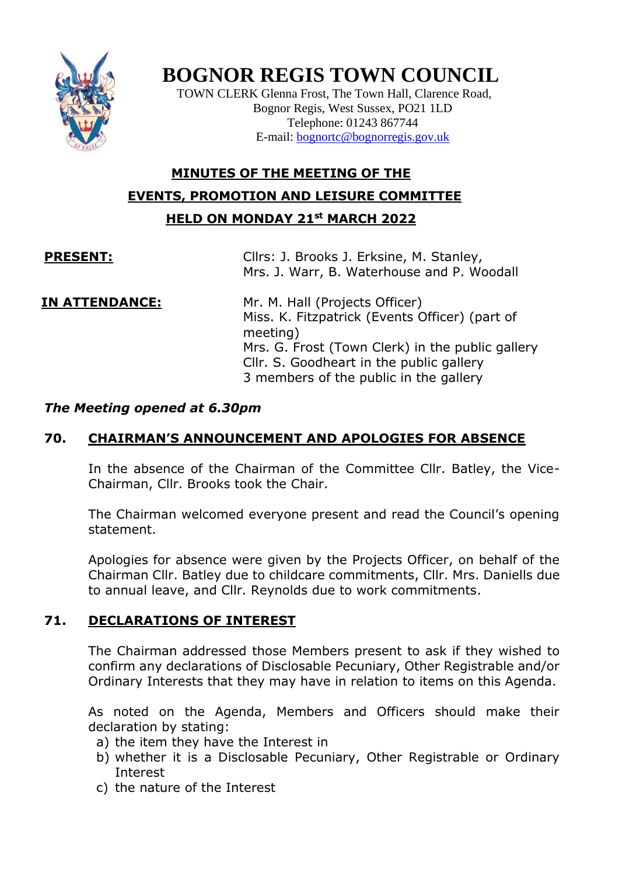

# **BOGNOR REGIS TOWN COUNCIL**

TOWN CLERK Glenna Frost, The Town Hall, Clarence Road, Bognor Regis, West Sussex, PO21 1LD Telephone: 01243 867744 E-mail: [bognortc@bognorregis.gov.uk](mailto:bognortc@bognorregis.gov.uk)

# **MINUTES OF THE MEETING OF THE EVENTS, PROMOTION AND LEISURE COMMITTEE HELD ON MONDAY 21st MARCH 2022**

**PRESENT:** Cllrs: J. Brooks J. Erksine, M. Stanley, Mrs. J. Warr, B. Waterhouse and P. Woodall

**IN ATTENDANCE:** Mr. M. Hall (Projects Officer) Miss. K. Fitzpatrick (Events Officer) (part of meeting) Mrs. G. Frost (Town Clerk) in the public gallery Cllr. S. Goodheart in the public gallery 3 members of the public in the gallery

### *The Meeting opened at 6.30pm*

# **70. CHAIRMAN'S ANNOUNCEMENT AND APOLOGIES FOR ABSENCE**

In the absence of the Chairman of the Committee Cllr. Batley, the Vice-Chairman, Cllr. Brooks took the Chair.

The Chairman welcomed everyone present and read the Council's opening statement.

Apologies for absence were given by the Projects Officer, on behalf of the Chairman Cllr. Batley due to childcare commitments, Cllr. Mrs. Daniells due to annual leave, and Cllr. Reynolds due to work commitments.

### **71. DECLARATIONS OF INTEREST**

The Chairman addressed those Members present to ask if they wished to confirm any declarations of Disclosable Pecuniary, Other Registrable and/or Ordinary Interests that they may have in relation to items on this Agenda.

As noted on the Agenda, Members and Officers should make their declaration by stating:

- a) the item they have the Interest in
- b) whether it is a Disclosable Pecuniary, Other Registrable or Ordinary Interest
- c) the nature of the Interest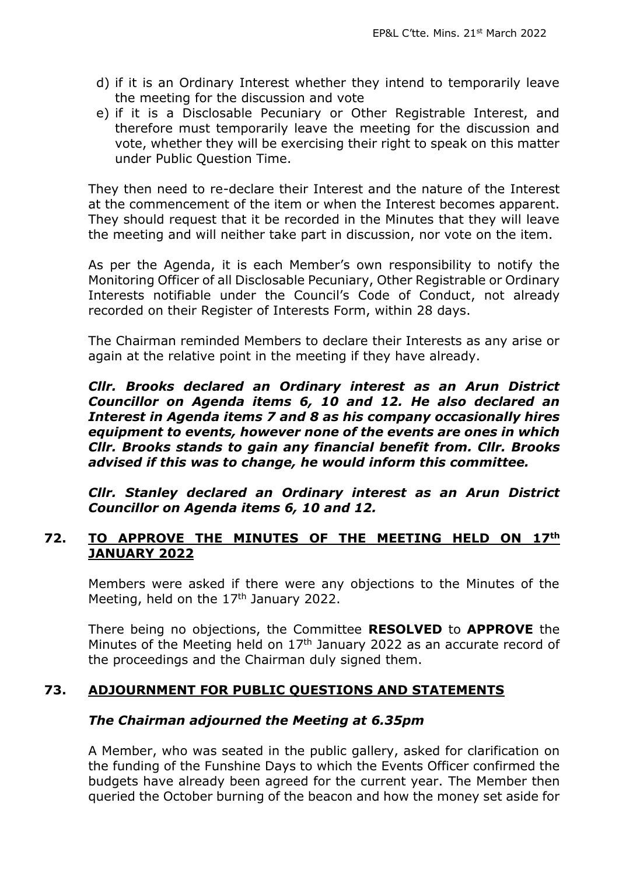- d) if it is an Ordinary Interest whether they intend to temporarily leave the meeting for the discussion and vote
- e) if it is a Disclosable Pecuniary or Other Registrable Interest, and therefore must temporarily leave the meeting for the discussion and vote, whether they will be exercising their right to speak on this matter under Public Question Time.

They then need to re-declare their Interest and the nature of the Interest at the commencement of the item or when the Interest becomes apparent. They should request that it be recorded in the Minutes that they will leave the meeting and will neither take part in discussion, nor vote on the item.

As per the Agenda, it is each Member's own responsibility to notify the Monitoring Officer of all Disclosable Pecuniary, Other Registrable or Ordinary Interests notifiable under the Council's Code of Conduct, not already recorded on their Register of Interests Form, within 28 days.

The Chairman reminded Members to declare their Interests as any arise or again at the relative point in the meeting if they have already.

*Cllr. Brooks declared an Ordinary interest as an Arun District Councillor on Agenda items 6, 10 and 12. He also declared an Interest in Agenda items 7 and 8 as his company occasionally hires equipment to events, however none of the events are ones in which Cllr. Brooks stands to gain any financial benefit from. Cllr. Brooks advised if this was to change, he would inform this committee.* 

*Cllr. Stanley declared an Ordinary interest as an Arun District Councillor on Agenda items 6, 10 and 12.*

#### **72. TO APPROVE THE MINUTES OF THE MEETING HELD ON 17th JANUARY 2022**

Members were asked if there were any objections to the Minutes of the Meeting, held on the 17<sup>th</sup> January 2022.

There being no objections, the Committee **RESOLVED** to **APPROVE** the Minutes of the Meeting held on 17<sup>th</sup> January 2022 as an accurate record of the proceedings and the Chairman duly signed them.

### **73. ADJOURNMENT FOR PUBLIC QUESTIONS AND STATEMENTS**

#### *The Chairman adjourned the Meeting at 6.35pm*

A Member, who was seated in the public gallery, asked for clarification on the funding of the Funshine Days to which the Events Officer confirmed the budgets have already been agreed for the current year. The Member then queried the October burning of the beacon and how the money set aside for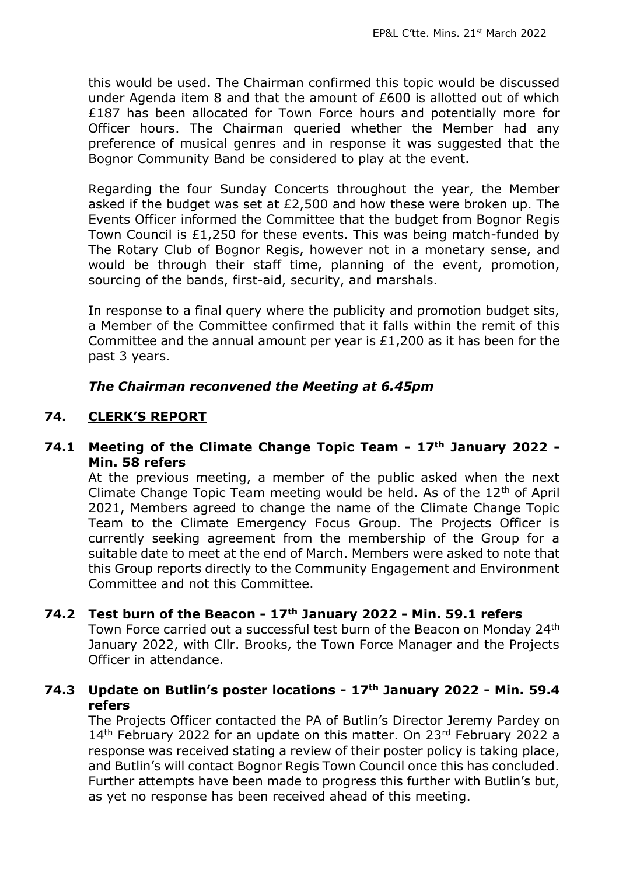this would be used. The Chairman confirmed this topic would be discussed under Agenda item 8 and that the amount of £600 is allotted out of which £187 has been allocated for Town Force hours and potentially more for Officer hours. The Chairman queried whether the Member had any preference of musical genres and in response it was suggested that the Bognor Community Band be considered to play at the event.

Regarding the four Sunday Concerts throughout the year, the Member asked if the budget was set at £2,500 and how these were broken up. The Events Officer informed the Committee that the budget from Bognor Regis Town Council is £1,250 for these events. This was being match-funded by The Rotary Club of Bognor Regis, however not in a monetary sense, and would be through their staff time, planning of the event, promotion, sourcing of the bands, first-aid, security, and marshals.

In response to a final query where the publicity and promotion budget sits, a Member of the Committee confirmed that it falls within the remit of this Committee and the annual amount per year is £1,200 as it has been for the past 3 years.

#### *The Chairman reconvened the Meeting at 6.45pm*

#### **74. CLERK'S REPORT**

#### **74.1 Meeting of the Climate Change Topic Team - 17th January 2022 - Min. 58 refers**

At the previous meeting, a member of the public asked when the next Climate Change Topic Team meeting would be held. As of the  $12<sup>th</sup>$  of April 2021, Members agreed to change the name of the Climate Change Topic Team to the Climate Emergency Focus Group. The Projects Officer is currently seeking agreement from the membership of the Group for a suitable date to meet at the end of March. Members were asked to note that this Group reports directly to the Community Engagement and Environment Committee and not this Committee.

#### **74.2 Test burn of the Beacon - 17th January 2022 - Min. 59.1 refers**

Town Force carried out a successful test burn of the Beacon on Monday 24th January 2022, with Cllr. Brooks, the Town Force Manager and the Projects Officer in attendance.

#### **74.3 Update on Butlin's poster locations - 17th January 2022 - Min. 59.4 refers**

The Projects Officer contacted the PA of Butlin's Director Jeremy Pardey on 14<sup>th</sup> February 2022 for an update on this matter. On 23<sup>rd</sup> February 2022 a response was received stating a review of their poster policy is taking place, and Butlin's will contact Bognor Regis Town Council once this has concluded. Further attempts have been made to progress this further with Butlin's but, as yet no response has been received ahead of this meeting.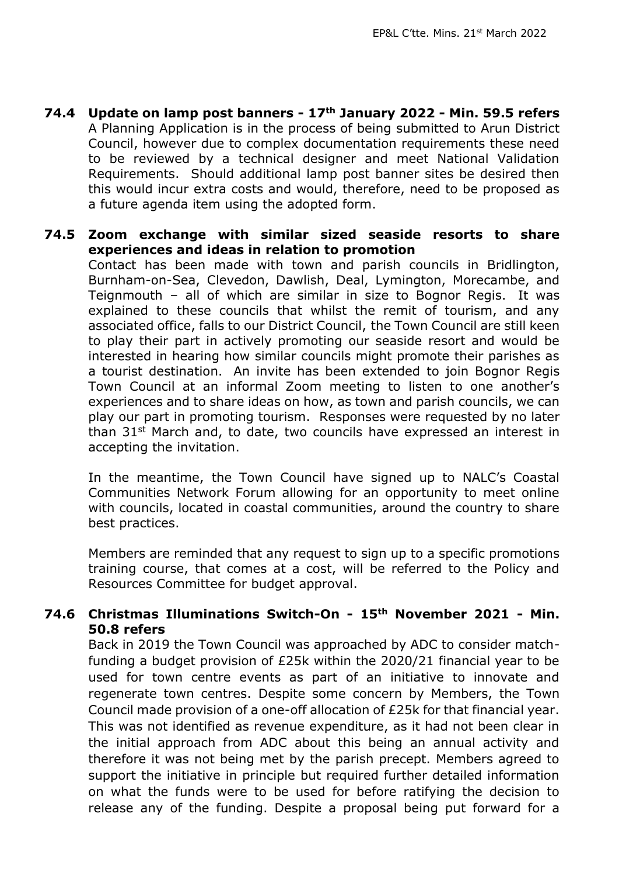**74.4 Update on lamp post banners - 17th January 2022 - Min. 59.5 refers** A Planning Application is in the process of being submitted to Arun District Council, however due to complex documentation requirements these need to be reviewed by a technical designer and meet National Validation Requirements. Should additional lamp post banner sites be desired then this would incur extra costs and would, therefore, need to be proposed as a future agenda item using the adopted form.

**74.5 Zoom exchange with similar sized seaside resorts to share experiences and ideas in relation to promotion**  Contact has been made with town and parish councils in Bridlington, Burnham-on-Sea, Clevedon, Dawlish, Deal, Lymington, Morecambe, and Teignmouth – all of which are similar in size to Bognor Regis. It was explained to these councils that whilst the remit of tourism, and any associated office, falls to our District Council, the Town Council are still keen to play their part in actively promoting our seaside resort and would be interested in hearing how similar councils might promote their parishes as a tourist destination. An invite has been extended to join Bognor Regis Town Council at an informal Zoom meeting to listen to one another's experiences and to share ideas on how, as town and parish councils, we can play our part in promoting tourism. Responses were requested by no later than 31<sup>st</sup> March and, to date, two councils have expressed an interest in accepting the invitation.

In the meantime, the Town Council have signed up to NALC's Coastal Communities Network Forum allowing for an opportunity to meet online with councils, located in coastal communities, around the country to share best practices.

Members are reminded that any request to sign up to a specific promotions training course, that comes at a cost, will be referred to the Policy and Resources Committee for budget approval.

#### **74.6 Christmas Illuminations Switch-On - 15th November 2021 - Min. 50.8 refers**

Back in 2019 the Town Council was approached by ADC to consider matchfunding a budget provision of £25k within the 2020/21 financial year to be used for town centre events as part of an initiative to innovate and regenerate town centres. Despite some concern by Members, the Town Council made provision of a one-off allocation of £25k for that financial year. This was not identified as revenue expenditure, as it had not been clear in the initial approach from ADC about this being an annual activity and therefore it was not being met by the parish precept. Members agreed to support the initiative in principle but required further detailed information on what the funds were to be used for before ratifying the decision to release any of the funding. Despite a proposal being put forward for a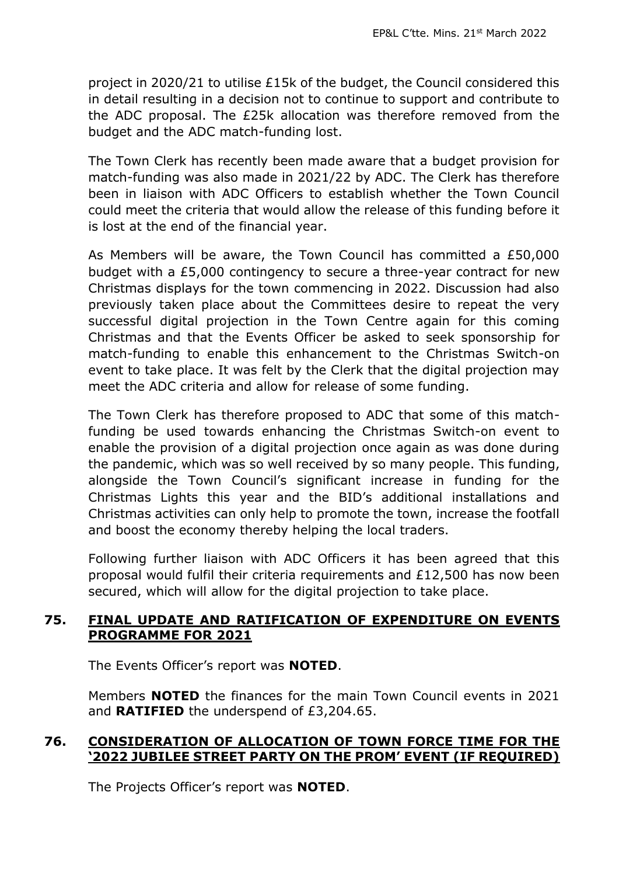project in 2020/21 to utilise £15k of the budget, the Council considered this in detail resulting in a decision not to continue to support and contribute to the ADC proposal. The £25k allocation was therefore removed from the budget and the ADC match-funding lost.

The Town Clerk has recently been made aware that a budget provision for match-funding was also made in 2021/22 by ADC. The Clerk has therefore been in liaison with ADC Officers to establish whether the Town Council could meet the criteria that would allow the release of this funding before it is lost at the end of the financial year.

As Members will be aware, the Town Council has committed a £50,000 budget with a £5,000 contingency to secure a three-year contract for new Christmas displays for the town commencing in 2022. Discussion had also previously taken place about the Committees desire to repeat the very successful digital projection in the Town Centre again for this coming Christmas and that the Events Officer be asked to seek sponsorship for match-funding to enable this enhancement to the Christmas Switch-on event to take place. It was felt by the Clerk that the digital projection may meet the ADC criteria and allow for release of some funding.

The Town Clerk has therefore proposed to ADC that some of this matchfunding be used towards enhancing the Christmas Switch-on event to enable the provision of a digital projection once again as was done during the pandemic, which was so well received by so many people. This funding, alongside the Town Council's significant increase in funding for the Christmas Lights this year and the BID's additional installations and Christmas activities can only help to promote the town, increase the footfall and boost the economy thereby helping the local traders.

Following further liaison with ADC Officers it has been agreed that this proposal would fulfil their criteria requirements and £12,500 has now been secured, which will allow for the digital projection to take place.

#### **75. FINAL UPDATE AND RATIFICATION OF EXPENDITURE ON EVENTS PROGRAMME FOR 2021**

The Events Officer's report was **NOTED**.

Members **NOTED** the finances for the main Town Council events in 2021 and **RATIFIED** the underspend of £3,204.65.

#### **76. CONSIDERATION OF ALLOCATION OF TOWN FORCE TIME FOR THE '2022 JUBILEE STREET PARTY ON THE PROM' EVENT (IF REQUIRED)**

The Projects Officer's report was **NOTED**.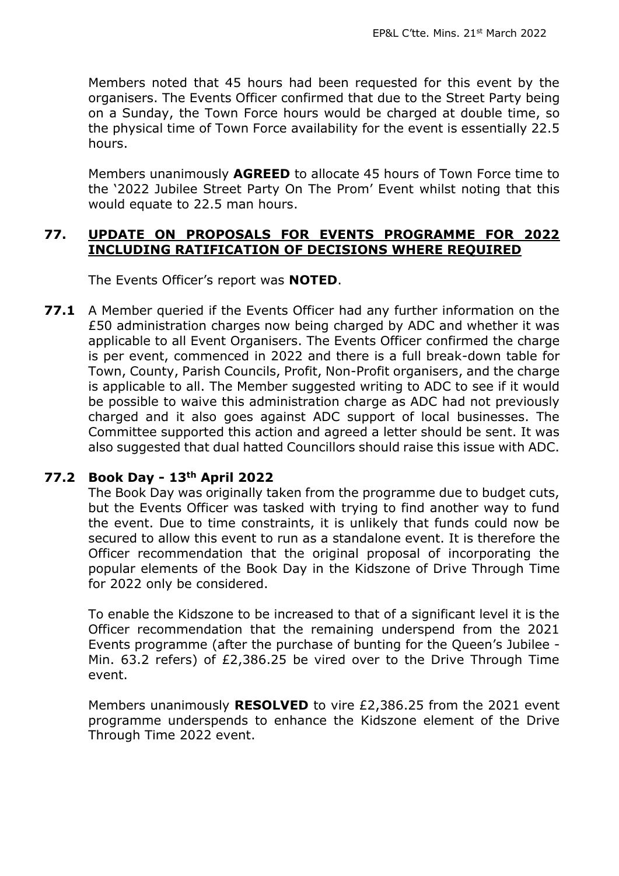Members noted that 45 hours had been requested for this event by the organisers. The Events Officer confirmed that due to the Street Party being on a Sunday, the Town Force hours would be charged at double time, so the physical time of Town Force availability for the event is essentially 22.5 hours.

Members unanimously **AGREED** to allocate 45 hours of Town Force time to the '2022 Jubilee Street Party On The Prom' Event whilst noting that this would equate to 22.5 man hours.

#### **77. UPDATE ON PROPOSALS FOR EVENTS PROGRAMME FOR 2022 INCLUDING RATIFICATION OF DECISIONS WHERE REQUIRED**

The Events Officer's report was **NOTED**.

**77.1** A Member queried if the Events Officer had any further information on the £50 administration charges now being charged by ADC and whether it was applicable to all Event Organisers. The Events Officer confirmed the charge is per event, commenced in 2022 and there is a full break-down table for Town, County, Parish Councils, Profit, Non-Profit organisers, and the charge is applicable to all. The Member suggested writing to ADC to see if it would be possible to waive this administration charge as ADC had not previously charged and it also goes against ADC support of local businesses. The Committee supported this action and agreed a letter should be sent. It was also suggested that dual hatted Councillors should raise this issue with ADC.

#### **77.2 Book Day - 13th April 2022**

The Book Day was originally taken from the programme due to budget cuts, but the Events Officer was tasked with trying to find another way to fund the event. Due to time constraints, it is unlikely that funds could now be secured to allow this event to run as a standalone event. It is therefore the Officer recommendation that the original proposal of incorporating the popular elements of the Book Day in the Kidszone of Drive Through Time for 2022 only be considered.

To enable the Kidszone to be increased to that of a significant level it is the Officer recommendation that the remaining underspend from the 2021 Events programme (after the purchase of bunting for the Queen's Jubilee - Min. 63.2 refers) of £2,386.25 be vired over to the Drive Through Time event.

Members unanimously **RESOLVED** to vire £2,386.25 from the 2021 event programme underspends to enhance the Kidszone element of the Drive Through Time 2022 event.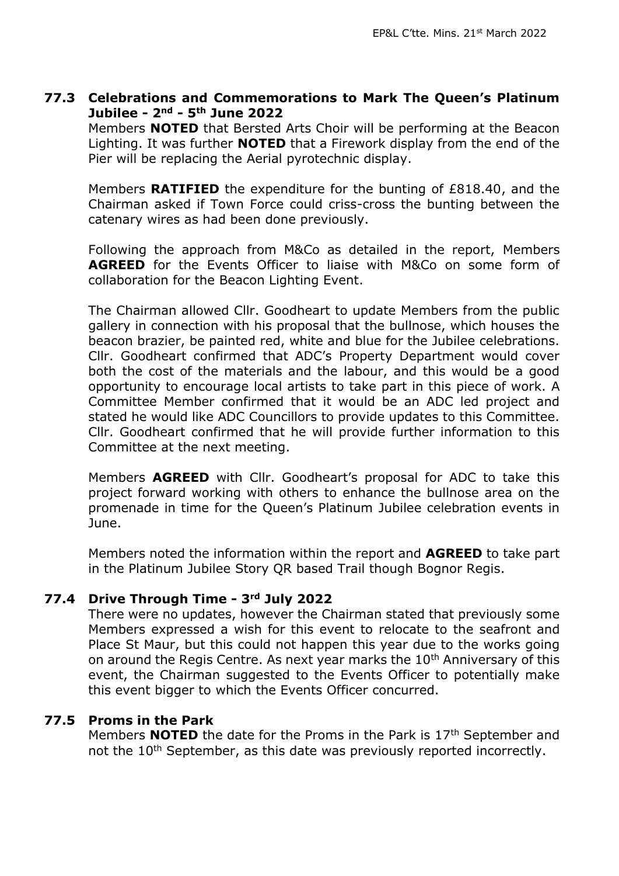#### **77.3 Celebrations and Commemorations to Mark The Queen's Platinum Jubilee - 2nd - 5th June 2022**

Members **NOTED** that Bersted Arts Choir will be performing at the Beacon Lighting. It was further **NOTED** that a Firework display from the end of the Pier will be replacing the Aerial pyrotechnic display.

Members **RATIFIED** the expenditure for the bunting of £818.40, and the Chairman asked if Town Force could criss-cross the bunting between the catenary wires as had been done previously.

Following the approach from M&Co as detailed in the report, Members **AGREED** for the Events Officer to liaise with M&Co on some form of collaboration for the Beacon Lighting Event.

The Chairman allowed Cllr. Goodheart to update Members from the public gallery in connection with his proposal that the bullnose, which houses the beacon brazier, be painted red, white and blue for the Jubilee celebrations. Cllr. Goodheart confirmed that ADC's Property Department would cover both the cost of the materials and the labour, and this would be a good opportunity to encourage local artists to take part in this piece of work. A Committee Member confirmed that it would be an ADC led project and stated he would like ADC Councillors to provide updates to this Committee. Cllr. Goodheart confirmed that he will provide further information to this Committee at the next meeting.

Members **AGREED** with Cllr. Goodheart's proposal for ADC to take this project forward working with others to enhance the bullnose area on the promenade in time for the Queen's Platinum Jubilee celebration events in June.

Members noted the information within the report and **AGREED** to take part in the Platinum Jubilee Story QR based Trail though Bognor Regis.

#### **77.4 Drive Through Time - 3rd July 2022**

There were no updates, however the Chairman stated that previously some Members expressed a wish for this event to relocate to the seafront and Place St Maur, but this could not happen this year due to the works going on around the Regis Centre. As next year marks the 10<sup>th</sup> Anniversary of this event, the Chairman suggested to the Events Officer to potentially make this event bigger to which the Events Officer concurred.

#### **77.5 Proms in the Park**

Members **NOTED** the date for the Proms in the Park is 17<sup>th</sup> September and not the 10<sup>th</sup> September, as this date was previously reported incorrectly.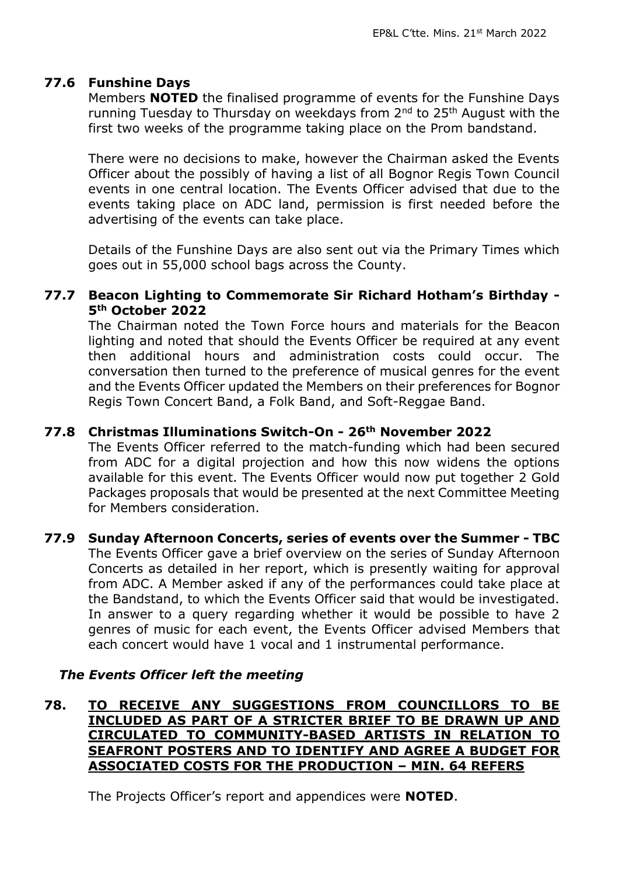#### **77.6 Funshine Days**

Members **NOTED** the finalised programme of events for the Funshine Days running Tuesday to Thursday on weekdays from 2<sup>nd</sup> to 25<sup>th</sup> August with the first two weeks of the programme taking place on the Prom bandstand.

There were no decisions to make, however the Chairman asked the Events Officer about the possibly of having a list of all Bognor Regis Town Council events in one central location. The Events Officer advised that due to the events taking place on ADC land, permission is first needed before the advertising of the events can take place.

Details of the Funshine Days are also sent out via the Primary Times which goes out in 55,000 school bags across the County.

#### **77.7 Beacon Lighting to Commemorate Sir Richard Hotham's Birthday - 5th October 2022**

The Chairman noted the Town Force hours and materials for the Beacon lighting and noted that should the Events Officer be required at any event then additional hours and administration costs could occur. The conversation then turned to the preference of musical genres for the event and the Events Officer updated the Members on their preferences for Bognor Regis Town Concert Band, a Folk Band, and Soft-Reggae Band.

### **77.8 Christmas Illuminations Switch-On - 26th November 2022**

The Events Officer referred to the match-funding which had been secured from ADC for a digital projection and how this now widens the options available for this event. The Events Officer would now put together 2 Gold Packages proposals that would be presented at the next Committee Meeting for Members consideration.

#### **77.9 Sunday Afternoon Concerts, series of events over the Summer - TBC** The Events Officer gave a brief overview on the series of Sunday Afternoon Concerts as detailed in her report, which is presently waiting for approval from ADC. A Member asked if any of the performances could take place at the Bandstand, to which the Events Officer said that would be investigated. In answer to a query regarding whether it would be possible to have 2 genres of music for each event, the Events Officer advised Members that each concert would have 1 vocal and 1 instrumental performance.

#### *The Events Officer left the meeting*

#### **78. TO RECEIVE ANY SUGGESTIONS FROM COUNCILLORS TO BE INCLUDED AS PART OF A STRICTER BRIEF TO BE DRAWN UP AND CIRCULATED TO COMMUNITY-BASED ARTISTS IN RELATION TO SEAFRONT POSTERS AND TO IDENTIFY AND AGREE A BUDGET FOR ASSOCIATED COSTS FOR THE PRODUCTION – MIN. 64 REFERS**

The Projects Officer's report and appendices were **NOTED**.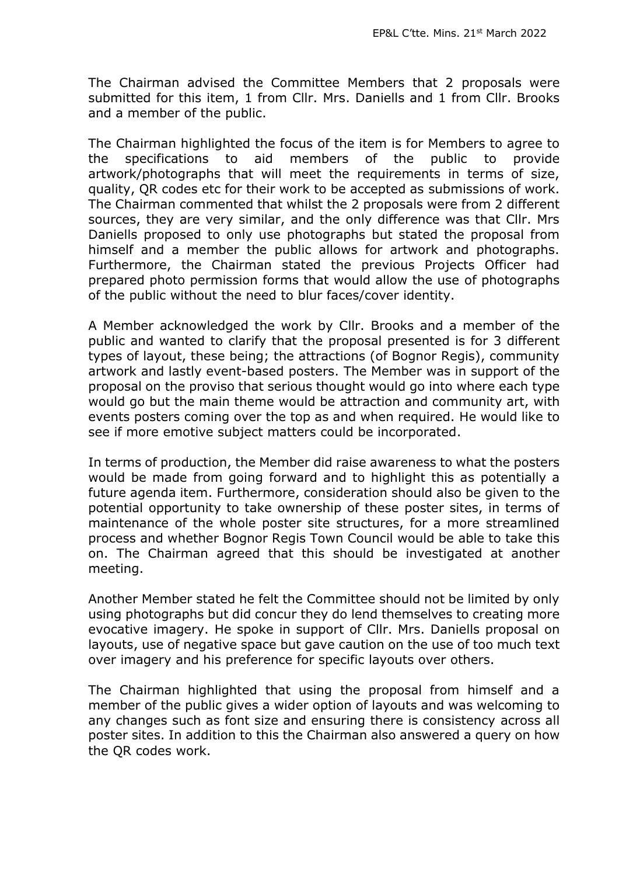The Chairman advised the Committee Members that 2 proposals were submitted for this item, 1 from Cllr. Mrs. Daniells and 1 from Cllr. Brooks and a member of the public.

The Chairman highlighted the focus of the item is for Members to agree to the specifications to aid members of the public to provide artwork/photographs that will meet the requirements in terms of size, quality, QR codes etc for their work to be accepted as submissions of work. The Chairman commented that whilst the 2 proposals were from 2 different sources, they are very similar, and the only difference was that Cllr. Mrs Daniells proposed to only use photographs but stated the proposal from himself and a member the public allows for artwork and photographs. Furthermore, the Chairman stated the previous Projects Officer had prepared photo permission forms that would allow the use of photographs of the public without the need to blur faces/cover identity.

A Member acknowledged the work by Cllr. Brooks and a member of the public and wanted to clarify that the proposal presented is for 3 different types of layout, these being; the attractions (of Bognor Regis), community artwork and lastly event-based posters. The Member was in support of the proposal on the proviso that serious thought would go into where each type would go but the main theme would be attraction and community art, with events posters coming over the top as and when required. He would like to see if more emotive subject matters could be incorporated.

In terms of production, the Member did raise awareness to what the posters would be made from going forward and to highlight this as potentially a future agenda item. Furthermore, consideration should also be given to the potential opportunity to take ownership of these poster sites, in terms of maintenance of the whole poster site structures, for a more streamlined process and whether Bognor Regis Town Council would be able to take this on. The Chairman agreed that this should be investigated at another meeting.

Another Member stated he felt the Committee should not be limited by only using photographs but did concur they do lend themselves to creating more evocative imagery. He spoke in support of Cllr. Mrs. Daniells proposal on layouts, use of negative space but gave caution on the use of too much text over imagery and his preference for specific layouts over others.

The Chairman highlighted that using the proposal from himself and a member of the public gives a wider option of layouts and was welcoming to any changes such as font size and ensuring there is consistency across all poster sites. In addition to this the Chairman also answered a query on how the QR codes work.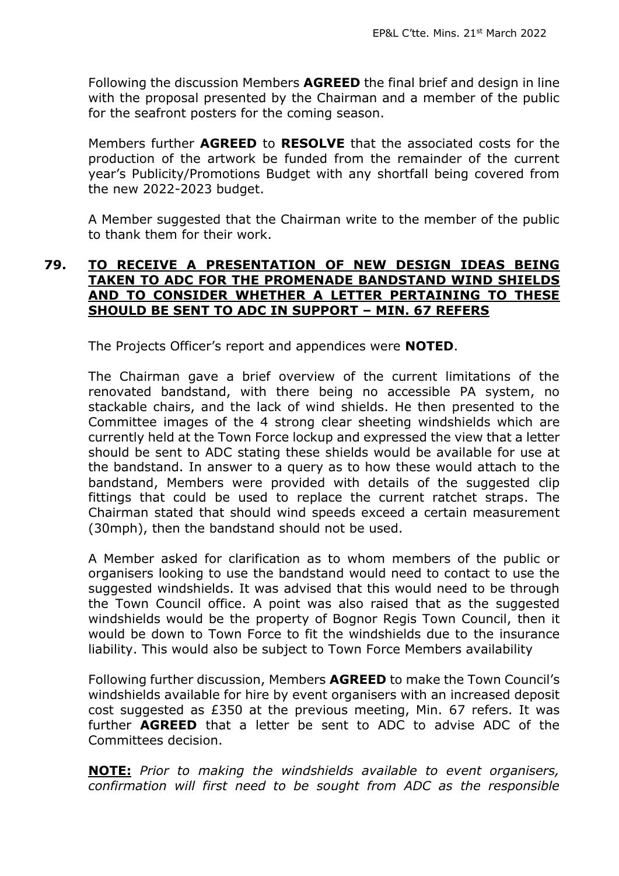Following the discussion Members **AGREED** the final brief and design in line with the proposal presented by the Chairman and a member of the public for the seafront posters for the coming season.

Members further **AGREED** to **RESOLVE** that the associated costs for the production of the artwork be funded from the remainder of the current year's Publicity/Promotions Budget with any shortfall being covered from the new 2022-2023 budget.

A Member suggested that the Chairman write to the member of the public to thank them for their work.

#### **79. TO RECEIVE A PRESENTATION OF NEW DESIGN IDEAS BEING TAKEN TO ADC FOR THE PROMENADE BANDSTAND WIND SHIELDS AND TO CONSIDER WHETHER A LETTER PERTAINING TO THESE SHOULD BE SENT TO ADC IN SUPPORT – MIN. 67 REFERS**

The Projects Officer's report and appendices were **NOTED**.

The Chairman gave a brief overview of the current limitations of the renovated bandstand, with there being no accessible PA system, no stackable chairs, and the lack of wind shields. He then presented to the Committee images of the 4 strong clear sheeting windshields which are currently held at the Town Force lockup and expressed the view that a letter should be sent to ADC stating these shields would be available for use at the bandstand. In answer to a query as to how these would attach to the bandstand, Members were provided with details of the suggested clip fittings that could be used to replace the current ratchet straps. The Chairman stated that should wind speeds exceed a certain measurement (30mph), then the bandstand should not be used.

A Member asked for clarification as to whom members of the public or organisers looking to use the bandstand would need to contact to use the suggested windshields. It was advised that this would need to be through the Town Council office. A point was also raised that as the suggested windshields would be the property of Bognor Regis Town Council, then it would be down to Town Force to fit the windshields due to the insurance liability. This would also be subject to Town Force Members availability

Following further discussion, Members **AGREED** to make the Town Council's windshields available for hire by event organisers with an increased deposit cost suggested as £350 at the previous meeting, Min. 67 refers. It was further **AGREED** that a letter be sent to ADC to advise ADC of the Committees decision.

**NOTE:** *Prior to making the windshields available to event organisers, confirmation will first need to be sought from ADC as the responsible*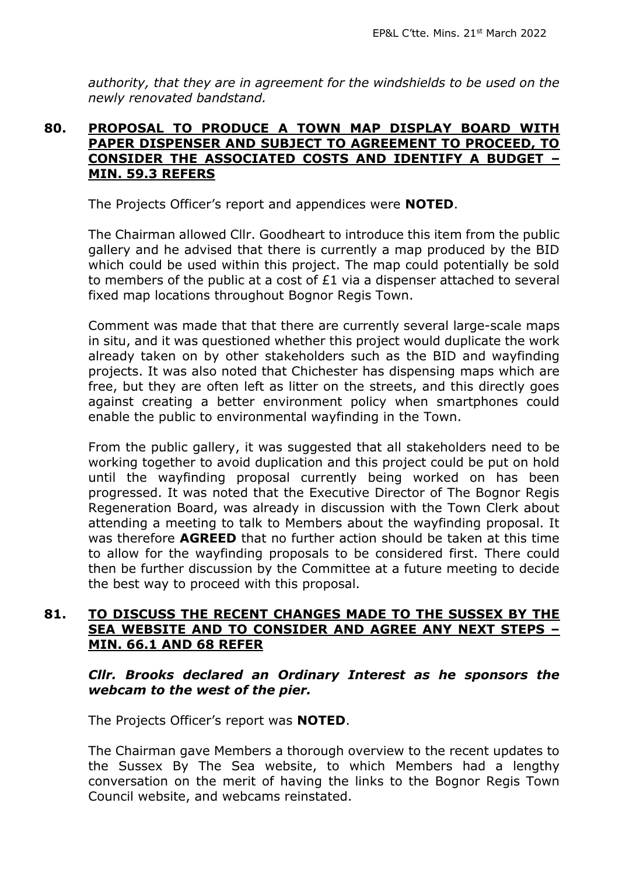*authority, that they are in agreement for the windshields to be used on the newly renovated bandstand.*

#### **80. PROPOSAL TO PRODUCE A TOWN MAP DISPLAY BOARD WITH PAPER DISPENSER AND SUBJECT TO AGREEMENT TO PROCEED, TO CONSIDER THE ASSOCIATED COSTS AND IDENTIFY A BUDGET – MIN. 59.3 REFERS**

The Projects Officer's report and appendices were **NOTED**.

The Chairman allowed Cllr. Goodheart to introduce this item from the public gallery and he advised that there is currently a map produced by the BID which could be used within this project. The map could potentially be sold to members of the public at a cost of £1 via a dispenser attached to several fixed map locations throughout Bognor Regis Town.

Comment was made that that there are currently several large-scale maps in situ, and it was questioned whether this project would duplicate the work already taken on by other stakeholders such as the BID and wayfinding projects. It was also noted that Chichester has dispensing maps which are free, but they are often left as litter on the streets, and this directly goes against creating a better environment policy when smartphones could enable the public to environmental wayfinding in the Town.

From the public gallery, it was suggested that all stakeholders need to be working together to avoid duplication and this project could be put on hold until the wayfinding proposal currently being worked on has been progressed. It was noted that the Executive Director of The Bognor Regis Regeneration Board, was already in discussion with the Town Clerk about attending a meeting to talk to Members about the wayfinding proposal. It was therefore **AGREED** that no further action should be taken at this time to allow for the wayfinding proposals to be considered first. There could then be further discussion by the Committee at a future meeting to decide the best way to proceed with this proposal.

#### **81. TO DISCUSS THE RECENT CHANGES MADE TO THE SUSSEX BY THE SEA WEBSITE AND TO CONSIDER AND AGREE ANY NEXT STEPS – MIN. 66.1 AND 68 REFER**

*Cllr. Brooks declared an Ordinary Interest as he sponsors the webcam to the west of the pier.*

The Projects Officer's report was **NOTED**.

The Chairman gave Members a thorough overview to the recent updates to the Sussex By The Sea website, to which Members had a lengthy conversation on the merit of having the links to the Bognor Regis Town Council website, and webcams reinstated.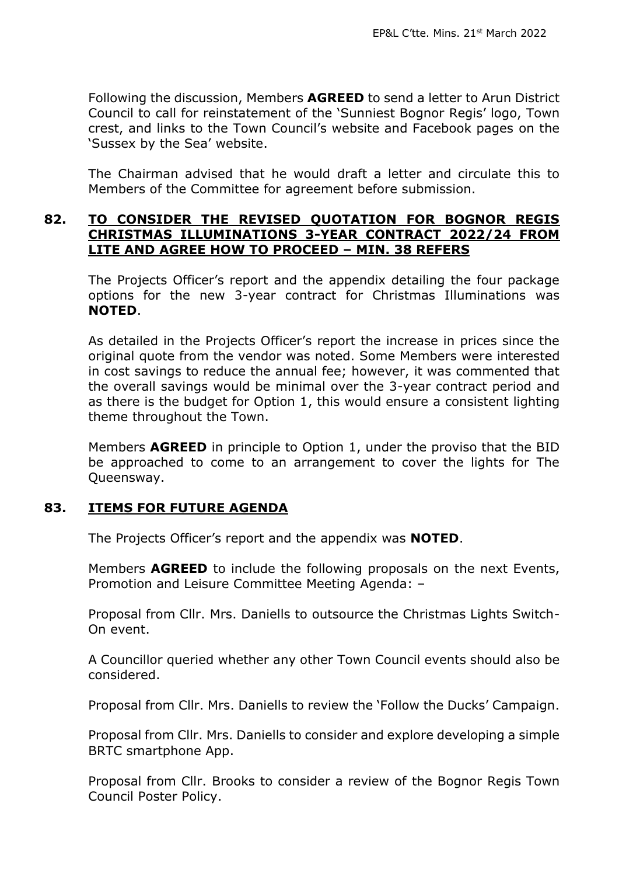Following the discussion, Members **AGREED** to send a letter to Arun District Council to call for reinstatement of the 'Sunniest Bognor Regis' logo, Town crest, and links to the Town Council's website and Facebook pages on the 'Sussex by the Sea' website.

The Chairman advised that he would draft a letter and circulate this to Members of the Committee for agreement before submission.

#### **82. TO CONSIDER THE REVISED QUOTATION FOR BOGNOR REGIS CHRISTMAS ILLUMINATIONS 3-YEAR CONTRACT 2022/24 FROM LITE AND AGREE HOW TO PROCEED – MIN. 38 REFERS**

The Projects Officer's report and the appendix detailing the four package options for the new 3-year contract for Christmas Illuminations was **NOTED**.

As detailed in the Projects Officer's report the increase in prices since the original quote from the vendor was noted. Some Members were interested in cost savings to reduce the annual fee; however, it was commented that the overall savings would be minimal over the 3-year contract period and as there is the budget for Option 1, this would ensure a consistent lighting theme throughout the Town.

Members **AGREED** in principle to Option 1, under the proviso that the BID be approached to come to an arrangement to cover the lights for The Queensway.

#### **83. ITEMS FOR FUTURE AGENDA**

The Projects Officer's report and the appendix was **NOTED**.

Members **AGREED** to include the following proposals on the next Events, Promotion and Leisure Committee Meeting Agenda: –

Proposal from Cllr. Mrs. Daniells to outsource the Christmas Lights Switch-On event.

A Councillor queried whether any other Town Council events should also be considered.

Proposal from Cllr. Mrs. Daniells to review the 'Follow the Ducks' Campaign.

Proposal from Cllr. Mrs. Daniells to consider and explore developing a simple BRTC smartphone App.

Proposal from Cllr. Brooks to consider a review of the Bognor Regis Town Council Poster Policy.